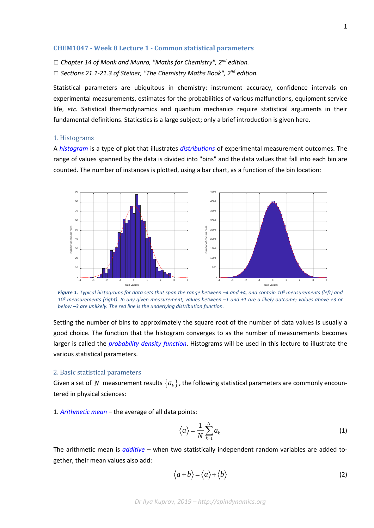## **CHEM1047 - Week 8 Lecture 1 - Common statistical parameters**

*□ Chapter 14 of Monk and Munro, "Maths for Chemistry", 2nd edition. □ Sections 21.1-21.3 of Steiner, "The Chemistry Maths Book", 2nd edition.*

Statistical parameters are ubiquitous in chemistry: instrument accuracy, confidence intervals on experimental measurements, estimates for the probabilities of various malfunctions, equipment service life, *etc.* Satistical thermodynamics and quantum mechanics require statistical arguments in their fundamental definitions. Staticstics is a large subject; only a brief introduction is given here.

## 1. Histograms

A *[histogram](https://en.wikipedia.org/wiki/Histogram)* is a type of plot that illustrates *[distributions](https://en.wikipedia.org/wiki/Probability_distribution)* of experimental measurement outcomes. The range of values spanned by the data is divided into "bins" and the data values that fall into each bin are counted. The number of instances is plotted, using a bar chart, as a function of the bin location:



*Figure 1. Typical histograms for data sets that span the range between –4 and +4, and contain 103 measurements (left) and 106 measurements (right). In any given measurement, values between –1 and +1 are a likely outcome; values above +3 or below –3 are unlikely. The red line is the underlying distribution function.*

Setting the number of bins to approximately the square root of the number of data values is usually a good choice. The function that the histogram converges to as the number of measurements becomes larger is called the *[probability density](https://en.wikipedia.org/wiki/Probability_density_function) function*. Histograms will be used in this lecture to illustrate the various statistical parameters.

## 2. Basic statistical parameters

Given a set of N measurement results  ${a_k}$ , the following statistical parameters are commonly encountered in physical sciences:

1. *[Arithmetic mean](https://en.wikipedia.org/wiki/Arithmetic_mean)* – the average of all data points:

$$
\left\langle a\right\rangle =\frac{1}{N}\sum_{k=1}^{N}a_{k}\tag{1}
$$

The arithmetic mean is *[additive](https://en.wikipedia.org/wiki/Additive_function)* – when two statistically independent random variables are added together, their mean values also add:

$$
\langle a+b\rangle = \langle a\rangle + \langle b\rangle \tag{2}
$$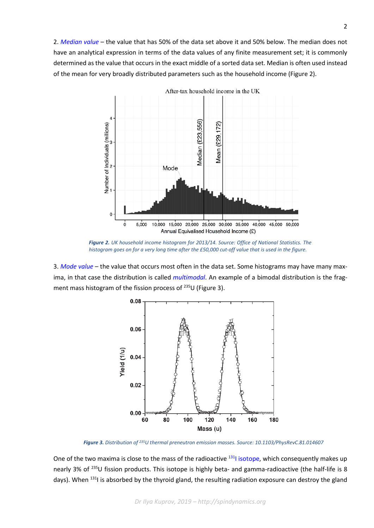2. *[Median value](https://en.wikipedia.org/wiki/Median)* – the value that has 50% of the data set above it and 50% below. The median does not have an analytical expression in terms of the data values of any finite measurement set; it is commonly determined as the value that occurs in the exact middle of a sorted data set. Median is often used instead of the mean for very broadly distributed parameters such as the household income (Figure 2).



After-tax household income in the UK

*Figure 2. UK household income histogram for 2013/14. Source: Office of National Statistics. The histogram goes on for a very long time after the £50,000 cut-off value that is used in the figure.*

3. *[Mode value](https://en.wikipedia.org/wiki/Mode_(statistics))* – the value that occurs most often in the data set. Some histograms may have many maxima, in that case the distribution is called *[multimodal](https://en.wikipedia.org/wiki/Multimodal_distribution)*. An example of a bimodal distribution is the fragment mass histogram of the fission process of <sup>235</sup>U (Figure 3).



 *Figure 3. Distribution of 235U thermal preneutron emission masses. Source: 10.1103/PhysRevC.81.014607*

One of the two maxima is close to the mass of the radioactive <sup>131</sup>I [isotope,](https://en.wikipedia.org/wiki/Iodine-131) which consequently makes up nearly 3% of <sup>235</sup>U fission products. This isotope is highly beta- and gamma-radioactive (the half-life is 8 days). When <sup>131</sup>I is absorbed by the thyroid gland, the resulting radiation exposure can destroy the gland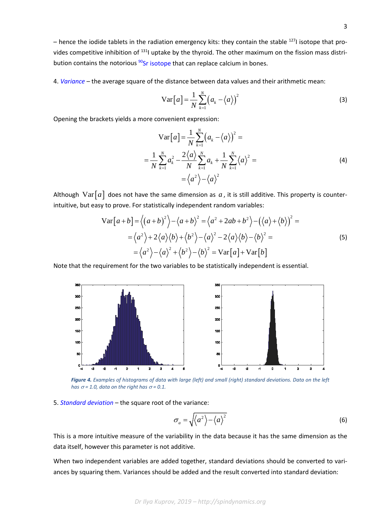– hence the iodide tablets in the radiation emergency kits: they contain the stable  $^{127}$ I isotope that provides competitive inhibition of <sup>131</sup>l uptake by the thyroid. The other maximum on the fission mass distri-bution contains the notorious <sup>90</sup>[Sr isotope](https://en.wikipedia.org/wiki/Strontium-90) that can replace calcium in bones.

4. *Variance* – the average square of the distance between data values and their arithmetic mean:

$$
\operatorname{Var}\left[a\right] = \frac{1}{N} \sum_{k=1}^{N} \left(a_k - \left\langle a \right\rangle\right)^2 \tag{3}
$$

Opening the brackets yields a more convenient expression:

$$
\operatorname{Var}[a] = \frac{1}{N} \sum_{k=1}^{N} (a_k - \langle a \rangle)^2 =
$$
  
=  $\frac{1}{N} \sum_{k=1}^{N} a_k^2 - \frac{2 \langle a \rangle N}{N} \sum_{k=1}^{N} a_k + \frac{1}{N} \sum_{k=1}^{N} \langle a \rangle^2 =$   
=  $\langle a^2 \rangle - \langle a \rangle^2$  (4)

Although  $Var[a]$  does not have the same dimension as *a*, it is still additive. This property is counterintuitive, but easy to prove. For statistically independent random variables:

$$
\operatorname{Var}[a+b] = \langle (a+b)^2 \rangle - \langle a+b \rangle^2 = \langle a^2 + 2ab + b^2 \rangle - (\langle a \rangle + \langle b \rangle)^2 =
$$
  

$$
= \langle a^2 \rangle + 2\langle a \rangle \langle b \rangle + \langle b^2 \rangle - \langle a \rangle^2 - 2\langle a \rangle \langle b \rangle - \langle b \rangle^2 =
$$
  

$$
= \langle a^2 \rangle - \langle a \rangle^2 + \langle b^2 \rangle - \langle b \rangle^2 = \operatorname{Var}[a] + \operatorname{Var}[b]
$$
 (5)

Note that the requirement for the two variables to be statistically independent is essential.



 *Figure 4. Examples of histograms of data with large (left) and small (right) standard deviations. Data on the left has*  $\sigma$  = 1.0, data on the right has  $\sigma$  = 0.1.

5. *[Standard deviation](https://en.wikipedia.org/wiki/Standard_deviation)* – the square root of the variance:

$$
\sigma_a = \sqrt{\langle a^2 \rangle - \langle a \rangle^2} \tag{6}
$$

This is a more intuitive measure of the variability in the data because it has the same dimension as the data itself, however this parameter is not additive*.*

When two independent variables are added together, standard deviations should be converted to variances by squaring them. Variances should be added and the result converted into standard deviation: